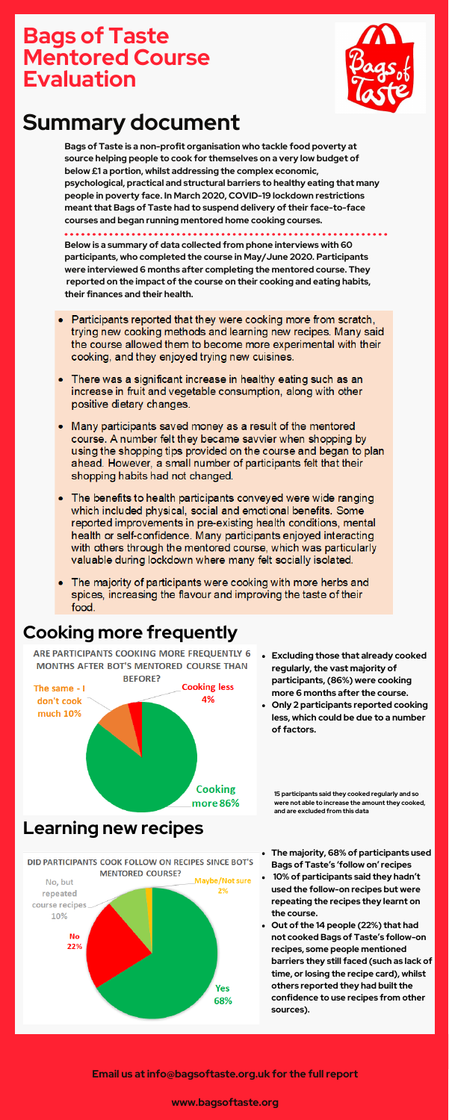**Bags of Taste is a non-profit organisation who tackle food poverty at source helping people to cook for themselves on a very low budget of below £1 a portion, whilst addressing the complex economic, psychological, practical and structural barriers to healthy eating that many people in poverty face. In March 2020, COVID-19 lockdown restrictions meant that Bags of Taste had to suspend delivery of their face-to-face courses and began running mentored home cooking courses.**

**Below is a summary of data collected from phone interviews with 60**

**participants, who completed the course in May/June 2020. Participants were interviewed 6 months after completing the mentored course. They reported on the impact of the course on their cooking and eating habits, their finances and their health.**

- Participants reported that they were cooking more from scratch. trying new cooking methods and learning new recipes. Many said the course allowed them to become more experimental with their cooking, and they enjoyed trying new cuisines.
- There was a significant increase in healthy eating such as an increase in fruit and vegetable consumption, along with other positive dietary changes.
- Many participants saved money as a result of the mentored course. A number felt they became savvier when shopping by using the shopping tips provided on the course and began to plan ahead. However, a small number of participants felt that their shopping habits had not changed.
- The benefits to health participants conveyed were wide ranging which included physical, social and emotional benefits. Some reported improvements in pre-existing health conditions, mental health or self-confidence. Many participants enjoyed interacting with others through the mentored course, which was particularly valuable during lockdown where many felt socially isolated.
- $\bullet$  The majority of participants were cooking with more herbs and spices, increasing the flavour and improving the taste of their food.

## **Bags of Taste Mentored Course Evaluation**



# **Summary document**

### **Cooking more frequently**

ARE PARTICIPANTS COOKING MORE FREQUENTLY 6 **MONTHS AFTER BOT'S MENTORED COURSE THAN** 

#### **Learning new recipes**



**Excluding those that already cooked regularly, the vast majority of**



- **participants, (86%) were cooking more 6 months after the course.**
- **Only 2 participants reported cooking less, which could be due to a number of factors.**

- **The majority, 68% of participants used Bags of Taste's 'follow on' recipes**
- **10% of participants said they hadn't used the follow-on recipes but were repeating the recipes they learnt on the course.**
- **Out of the 14 people (22%) that had not cooked Bags of Taste's follow-on recipes, some people mentioned barriers they still faced (such as lack of time, or losing the recipe card), whilst others reported they had built the confidence to use recipes from other sources).**

#### **Email us at info@bagsoftaste.org.uk for the full report**

#### **www.bagsoftaste.org**

**15 participants said they cooked regularly and so were not able to increase the amount they cooked, and are excluded from this data**